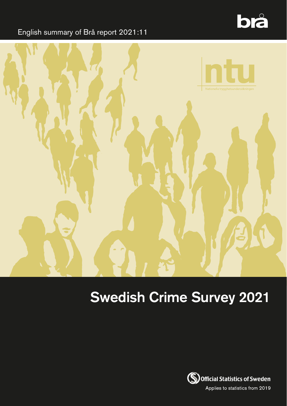

### English summary of Brå report 2021:11



# Swedish Crime Survey 2021

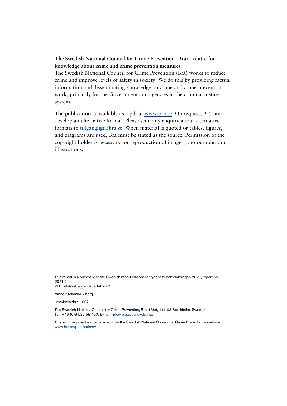#### **The Swedish National Council for Crime Prevention (Brå) - centre for knowledge about crime and crime prevention measures**

The Swedish National Council for Crime Prevention (Brå) works to reduce crime and improve levels of safety in society. We do this by providing factual information and disseminating knowledge on crime and crime prevention work, primarily for the Government and agencies in the criminal justice system.

The publication is available as a pdf at [www.bra.se.](http://www.bra.se/) On request, Brå can develop an alternative format. Please send any enquiry about alternative formats to [tillgangligt@bra.se.](mailto:tillgangligt@bra.se) When material is quoted or tables, figures, and diagrams are used, Brå must be stated as the source. Permission of the copyright holder is necessary for reproduction of images, photographs, and illustrations.

This report is a summary of the Swedish report Nationella trygghetsundersökningen 2021, report no. 2021:11 © Brottsförebyggande rådet 2021

Author: Johanna Viberg

urn:nbn:se:bra-1007

The Swedish National Council for Crime Prevention, Box 1386, 111 93 Stockholm, Sweden Tel: +46 (0)8 527 58 400, E-mail[: info@bra.se,](mailto:info@bra.se) [www.bra.se](http://www.bra.se/)

This summary can be downloaded from the Swedish National Council for Crime Prevention's website, [www.bra.se/publikationer](https://eur03.safelinks.protection.outlook.com/?url=http%3A%2F%2Fwww.bra.se%2Fpublikationer&data=04%7C01%7CSiw.Jonsson%40lexicon.se%7C3c7ac08713f94ee0863008d978e240fb%7C34e9a1f323e14eadb2fd41660c25cc47%7C0%7C0%7C637673735463682967%7CUnknown%7CTWFpbGZsb3d8eyJWIjoiMC4wLjAwMDAiLCJQIjoiV2luMzIiLCJBTiI6Ik1haWwiLCJXVCI6Mn0%3D%7C1000&sdata=DClMIf2Mgz9eRxnChIEKhtQeu03mDQD%2Fi4qHszdoA04%3D&reserved=0)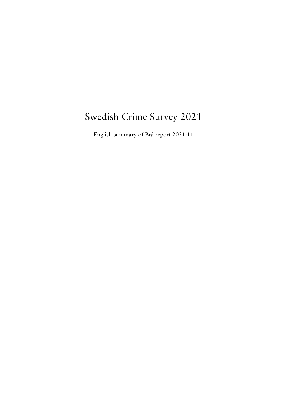### Swedish Crime Survey 2021

English summary of Brå report 2021:11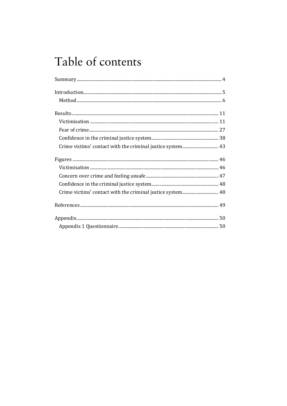# Table of contents

| Crime victims' contact with the criminal justice system 48 |
|------------------------------------------------------------|
|                                                            |
|                                                            |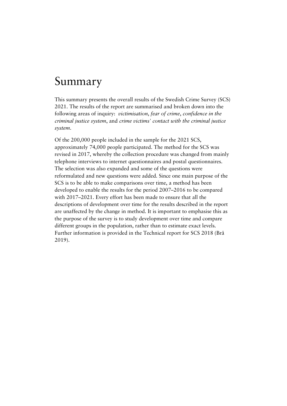## <span id="page-4-0"></span>Summary

This summary presents the overall results of the Swedish Crime Survey (SCS) 2021. The results of the report are summarised and broken down into the following areas of inquiry: *victimisation*, *fear of crime*, *confidence in the criminal justice system*, and *crime victims' contact with the criminal justice system*.

Of the 200,000 people included in the sample for the 2021 SCS, approximately 74,000 people participated. The method for the SCS was revised in 2017, whereby the collection procedure was changed from mainly telephone interviews to internet questionnaires and postal questionnaires. The selection was also expanded and some of the questions were reformulated and new questions were added. Since one main purpose of the SCS is to be able to make comparisons over time, a method has been developed to enable the results for the period 2007–2016 to be compared with 2017–2021. Every effort has been made to ensure that all the descriptions of development over time for the results described in the report are unaffected by the change in method. It is important to emphasise this as the purpose of the survey is to study development over time and compare different groups in the population, rather than to estimate exact levels. Further information is provided in the Technical report for SCS 2018 (Brå 2019).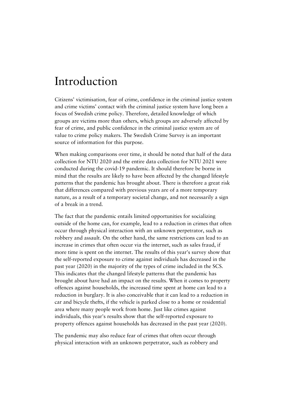### <span id="page-5-0"></span>Introduction

Citizens' victimisation, fear of crime, confidence in the criminal justice system and crime victims' contact with the criminal justice system have long been a focus of Swedish crime policy. Therefore, detailed knowledge of which groups are victims more than others, which groups are adversely affected by fear of crime, and public confidence in the criminal justice system are of value to crime policy makers. The Swedish Crime Survey is an important source of information for this purpose.

When making comparisons over time, it should be noted that half of the data collection for NTU 2020 and the entire data collection for NTU 2021 were conducted during the covid-19 pandemic. It should therefore be borne in mind that the results are likely to have been affected by the changed lifestyle patterns that the pandemic has brought about. There is therefore a great risk that differences compared with previous years are of a more temporary nature, as a result of a temporary societal change, and not necessarily a sign of a break in a trend.

The fact that the pandemic entails limited opportunities for socializing outside of the home can, for example, lead to a reduction in crimes that often occur through physical interaction with an unknown perpetrator, such as robbery and assault. On the other hand, the same restrictions can lead to an increase in crimes that often occur via the internet, such as sales fraud, if more time is spent on the internet. The results of this year's survey show that the self-reported exposure to crime against individuals has decreased in the past year (2020) in the majority of the types of crime included in the SCS. This indicates that the changed lifestyle patterns that the pandemic has brought about have had an impact on the results. When it comes to property offences against households, the increased time spent at home can lead to a reduction in burglary. It is also conceivable that it can lead to a reduction in car and bicycle thefts, if the vehicle is parked close to a home or residential area where many people work from home. Just like crimes against individuals, this year's results show that the self-reported exposure to property offences against households has decreased in the past year (2020).

The pandemic may also reduce fear of crimes that often occur through physical interaction with an unknown perpetrator, such as robbery and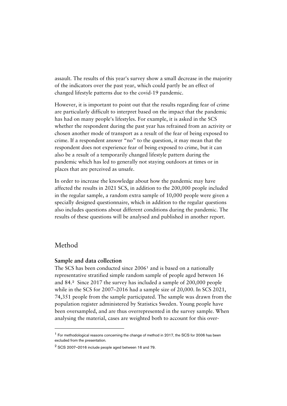assault. The results of this year's survey show a small decrease in the majority of the indicators over the past year, which could partly be an effect of changed lifestyle patterns due to the covid-19 pandemic.

However, it is important to point out that the results regarding fear of crime are particularly difficult to interpret based on the impact that the pandemic has had on many people's lifestyles. For example, it is asked in the SCS whether the respondent during the past year has refrained from an activity or chosen another mode of transport as a result of the fear of being exposed to crime. If a respondent answer "no" to the question, it may mean that the respondent does not experience fear of being exposed to crime, but it can also be a result of a temporarily changed lifestyle pattern during the pandemic which has led to generally not staying outdoors at times or in places that are perceived as unsafe.

In order to increase the knowledge about how the pandemic may have affected the results in 2021 SCS, in addition to the 200,000 people included in the regular sample, a random extra sample of 10,000 people were given a specially designed questionnaire, which in addition to the regular questions also includes questions about different conditions during the pandemic. The results of these questions will be analysed and published in another report.

#### <span id="page-6-0"></span>Method

#### **Sample and data collection**

The SCS has been conducted since 2006<sup>[1](#page-6-1)</sup> and is based on a nationally representative stratified simple random sample of people aged between 16 and 84.[2](#page-6-2) Since 2017 the survey has included a sample of 200,000 people while in the SCS for 2007–2016 had a sample size of 20,000. In SCS 2021, 74,351 people from the sample participated. The sample was drawn from the population register administered by Statistics Sweden. Young people have been oversampled, and are thus overrepresented in the survey sample. When analysing the material, cases are weighted both to account for this over-

<span id="page-6-1"></span><sup>&</sup>lt;sup>1</sup> For methodological reasons concerning the change of method in 2017, the SCS for 2006 has been excluded from the presentation.

<span id="page-6-2"></span> $2$  SCS 2007-2016 include people aged between 16 and 79.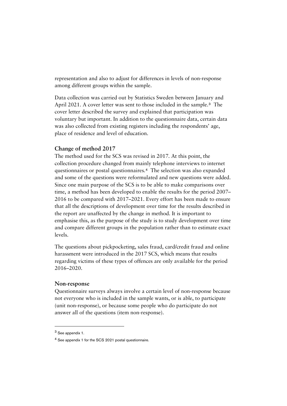representation and also to adjust for differences in levels of non-response among different groups within the sample.

Data collection was carried out by Statistics Sweden between January and April 2021. A cover letter was sent to those included in the sample.<sup>[3](#page-7-0)</sup> The cover letter described the survey and explained that participation was voluntary but important. In addition to the questionnaire data, certain data was also collected from existing registers including the respondents' age, place of residence and level of education.

#### **Change of method 2017**

The method used for the SCS was revised in 2017. At this point, the collection procedure changed from mainly telephone interviews to internet questionnaires or postal questionnaires.[4](#page-7-1) The selection was also expanded and some of the questions were reformulated and new questions were added. Since one main purpose of the SCS is to be able to make comparisons over time, a method has been developed to enable the results for the period 2007– 2016 to be compared with 2017–2021. Every effort has been made to ensure that all the descriptions of development over time for the results described in the report are unaffected by the change in method. It is important to emphasise this, as the purpose of the study is to study development over time and compare different groups in the population rather than to estimate exact levels.

The questions about pickpocketing, sales fraud, card/credit fraud and online harassment were introduced in the 2017 SCS, which means that results regarding victims of these types of offences are only available for the period 2016–2020.

#### **Non-response**

Questionnaire surveys always involve a certain level of non-response because not everyone who is included in the sample wants, or is able, to participate (unit non-response), or because some people who do participate do not answer all of the questions (item non-response).

<span id="page-7-0"></span><sup>3</sup> See appendix 1.

<span id="page-7-1"></span><sup>4</sup> See appendix 1 for the SCS 2021 postal questionnaire.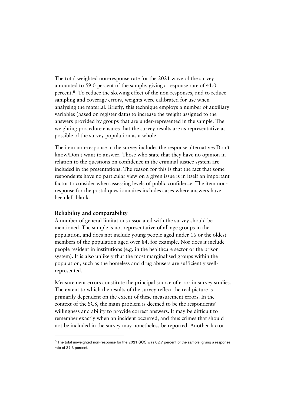The total weighted non-response rate for the 2021 wave of the survey amounted to 59.0 percent of the sample, giving a response rate of 41.0 percent.[5](#page-8-0) To reduce the skewing effect of the non-responses, and to reduce sampling and coverage errors, weights were calibrated for use when analysing the material. Briefly, this technique employs a number of auxiliary variables (based on register data) to increase the weight assigned to the answers provided by groups that are under-represented in the sample. The weighting procedure ensures that the survey results are as representative as possible of the survey population as a whole.

The item non-response in the survey includes the response alternatives Don't know/Don't want to answer. Those who state that they have no opinion in relation to the questions on confidence in the criminal justice system are included in the presentations. The reason for this is that the fact that some respondents have no particular view on a given issue is in itself an important factor to consider when assessing levels of public confidence. The item nonresponse for the postal questionnaires includes cases where answers have been left blank.

#### **Reliability and comparability**

 $\overline{a}$ 

A number of general limitations associated with the survey should be mentioned. The sample is not representative of all age groups in the population, and does not include young people aged under 16 or the oldest members of the population aged over 84, for example. Nor does it include people resident in institutions (e.g. in the healthcare sector or the prison system). It is also unlikely that the most marginalised groups within the population, such as the homeless and drug abusers are sufficiently wellrepresented.

Measurement errors constitute the principal source of error in survey studies. The extent to which the results of the survey reflect the real picture is primarily dependent on the extent of these measurement errors. In the context of the SCS, the main problem is deemed to be the respondents' willingness and ability to provide correct answers. It may be difficult to remember exactly when an incident occurred, and thus crimes that should not be included in the survey may nonetheless be reported. Another factor

<span id="page-8-0"></span> $5$  The total unweighted non-response for the 2021 SCS was 62.7 percent of the sample, giving a response rate of 37.3 percent.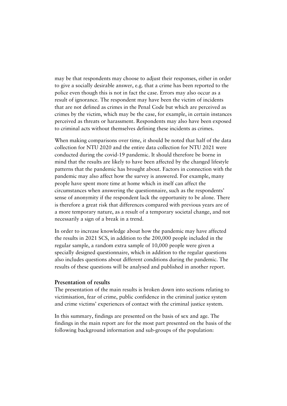may be that respondents may choose to adjust their responses, either in order to give a socially desirable answer, e.g. that a crime has been reported to the police even though this is not in fact the case. Errors may also occur as a result of ignorance. The respondent may have been the victim of incidents that are not defined as crimes in the Penal Code but which are perceived as crimes by the victim, which may be the case, for example, in certain instances perceived as threats or harassment. Respondents may also have been exposed to criminal acts without themselves defining these incidents as crimes.

When making comparisons over time, it should be noted that half of the data collection for NTU 2020 and the entire data collection for NTU 2021 were conducted during the covid-19 pandemic. It should therefore be borne in mind that the results are likely to have been affected by the changed lifestyle patterns that the pandemic has brought about. Factors in connection with the pandemic may also affect how the survey is answered. For example, many people have spent more time at home which in itself can affect the circumstances when answering the questionnaire, such as the respondents' sense of anonymity if the respondent lack the opportunity to be alone. There is therefore a great risk that differences compared with previous years are of a more temporary nature, as a result of a temporary societal change, and not necessarily a sign of a break in a trend.

In order to increase knowledge about how the pandemic may have affected the results in 2021 SCS, in addition to the 200,000 people included in the regular sample, a random extra sample of 10,000 people were given a specially designed questionnaire, which in addition to the regular questions also includes questions about different conditions during the pandemic. The results of these questions will be analysed and published in another report.

#### **Presentation of results**

The presentation of the main results is broken down into sections relating to victimisation, fear of crime, public confidence in the criminal justice system and crime victims' experiences of contact with the criminal justice system.

In this summary, findings are presented on the basis of sex and age. The findings in the main report are for the most part presented on the basis of the following background information and sub-groups of the population: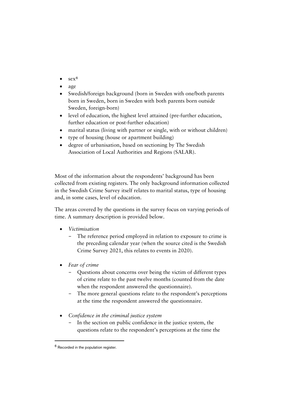- sex<sup>[6](#page-10-0)</sup>
- age
- Swedish/foreign background (born in Sweden with one/both parents born in Sweden, born in Sweden with both parents born outside Sweden, foreign-born)
- level of education, the highest level attained (pre-further education, further education or post-further education)
- marital status (living with partner or single, with or without children)
- type of housing (house or apartment building)
- degree of urbanisation, based on sectioning by The Swedish Association of Local Authorities and Regions (SALAR).

Most of the information about the respondents' background has been collected from existing registers. The only background information collected in the Swedish Crime Survey itself relates to marital status, type of housing and, in some cases, level of education.

The areas covered by the questions in the survey focus on varying periods of time. A summary description is provided below.

- *Victimisation*
	- − The reference period employed in relation to exposure to crime is the preceding calendar year (when the source cited is the Swedish Crime Survey 2021, this relates to events in 2020).
- *Fear of crime*
	- − Questions about concerns over being the victim of different types of crime relate to the past twelve months (counted from the date when the respondent answered the questionnaire).
	- − The more general questions relate to the respondent's perceptions at the time the respondent answered the questionnaire.
- *Confidence in the criminal justice system*
	- − In the section on public confidence in the justice system, the questions relate to the respondent's perceptions at the time the

<span id="page-10-0"></span><sup>6</sup> Recorded in the population register.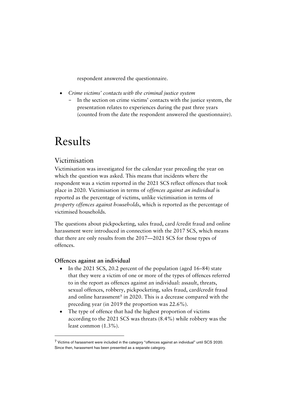respondent answered the questionnaire.

- *Crime victims' contacts with the criminal justice system*
	- − In the section on crime victims' contacts with the justice system, the presentation relates to experiences during the past three years (counted from the date the respondent answered the questionnaire).

## <span id="page-11-0"></span>Results

#### <span id="page-11-1"></span>Victimisation

Victimisation was investigated for the calendar year preceding the year on which the question was asked. This means that incidents where the respondent was a victim reported in the 2021 SCS reflect offences that took place in 2020. Victimisation in terms of *offences against an individual* is reported as the percentage of victims, unlike victimisation in terms of *property offences against households*, which is reported as the percentage of victimised households.

The questions about pickpocketing, sales fraud, card /credit fraud and online harassment were introduced in connection with the 2017 SCS, which means that there are only results from the 2017––2021 SCS for those types of offences.

#### **Offences against an individual**

- In the 2021 SCS, 20.2 percent of the population (aged 16–84) state that they were a victim of one or more of the types of offences referred to in the report as offences against an individual: assault, threats, sexual offences, robbery, pickpocketing, sales fraud, card/credit fraud and online harassment<sup>[7](#page-11-2)</sup> in 2020. This is a decrease compared with the preceding year (in 2019 the proportion was 22.6%).
- The type of offence that had the highest proportion of victims according to the 2021 SCS was threats (8.4%) while robbery was the least common (1.3%).

<span id="page-11-2"></span><sup>7</sup> Victims of harassment were included in the category ''offences against an individual'' until SCS 2020. Since then, harassment has been presented as a separate category.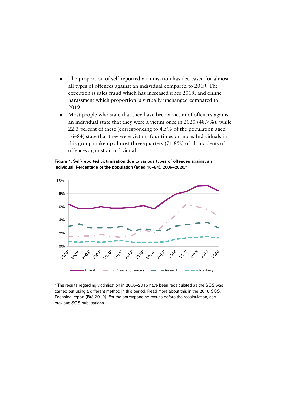- The proportion of self-reported victimisation has decreased for almost all types of offences against an individual compared to 2019. The exception is sales fraud which has increased since 2019, and online harassment which proportion is virtually unchanged compared to 2019.
- Most people who state that they have been a victim of offences against an individual state that they were a victim once in 2020 (48.7%), while 22.3 percent of these (corresponding to 4.5% of the population aged 16–84) state that they were victims four times or more. Individuals in this group make up almost three-quarters (71.8%) of all incidents of offences against an individual.

Figure 1. Self-reported victimisation due to various types of offences against an individual. Percentage of the population (aged 16-84), 2006-2020.<sup>a</sup>



a The results regarding victimisation in 2006-2015 have been recalculated as the SCS was carried out using a different method in this period. Read more about this in the 2018 SCS, Technical report (Brå 2019). For the corresponding results before the recalculation, see previous SCS publications.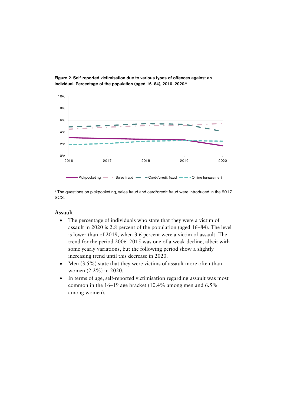

Figure 2. Self-reported victimisation due to various types of offences against an individual. Percentage of the population (aged 16-84), 2016-2020.<sup>a</sup>

<sup>a</sup> The questions on pickpocketing, sales fraud and card/credit fraud were introduced in the 2017 SCS.

#### **Assault**

- The percentage of individuals who state that they were a victim of assault in 2020 is 2.8 percent of the population (aged 16–84). The level is lower than of 2019, when 3.6 percent were a victim of assault. The trend for the period 2006–2015 was one of a weak decline, albeit with some yearly variations, but the following period show a slightly increasing trend until this decrease in 2020.
- Men (3.5%) state that they were victims of assault more often than women (2.2%) in 2020.
- In terms of age, self-reported victimisation regarding assault was most common in the 16–19 age bracket (10.4% among men and 6.5% among women).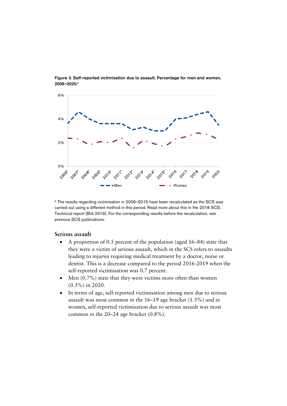

Figure 3. Self-reported victimisation due to assault. Percentage for men and women, 2006-2020.a

a The results regarding victimisation in 2006-2015 have been recalculated as the SCS was carried out using a different method in this period. Read more about this in the 2018 SCS, Technical report (Brå 2019). For the corresponding results before the recalculation, see previous SCS publications.

#### **Serious assault**

- A proportion of 0.5 percent of the population (aged 16–84) state that they were a victim of serious assault, which in the SCS refers to assaults leading to injuries requiring medical treatment by a doctor, nurse or dentist. This is a decrease compared to the period 2016-2019 when the self-reported victimisation was 0.7 percent.
- Men (0.7%) state that they were victims more often than women (0.3%) in 2020.
- In terms of age, self-reported victimisation among men due to serious assault was most common in the 16–19 age bracket (1.5%) and in women, self-reported victimisation due to serious assault was most common in the 20–24 age bracket (0.8%).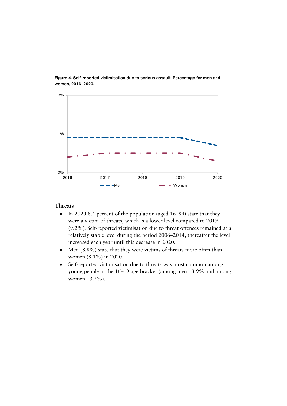

Figure 4. Self-reported victimisation due to serious assault. Percentage for men and women, 2016-2020.

#### **Threats**

- In 2020 8.4 percent of the population (aged 16–84) state that they were a victim of threats, which is a lower level compared to 2019 (9.2%). Self-reported victimisation due to threat offences remained at a relatively stable level during the period 2006–2014, thereafter the level increased each year until this decrease in 2020.
- Men (8.8%) state that they were victims of threats more often than women (8.1%) in 2020.
- Self-reported victimisation due to threats was most common among young people in the 16–19 age bracket (among men 13.9% and among women 13.2%).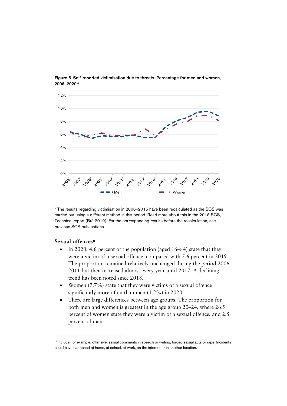

Figure 5. Self-reported victimisation due to threats. Percentage for men and women, 2006-2020.a

<sup>a</sup> The results regarding victimisation in 2006-2015 have been recalculated as the SCS was carried out using a different method in this period. Read more about this in the 2018 SCS, Technical report (Brå 2019). For the corresponding results before the recalculation, see previous SCS publications.

#### **Sexual offences**[8](#page-16-0)

- In 2020, 4.6 percent of the population (aged 16–84) state that they were a victim of a sexual offence, compared with 5.6 percent in 2019. The proportion remained relatively unchanged during the period 2006- 2011 but then increased almost every year until 2017. A declining trend has been noted since 2018.
- Women (7.7%) state that they were victims of a sexual offence significantly more often than men (1.2%) in 2020.
- There are large differences between age groups. The proportion for both men and women is greatest in the age group 20–24, where 26.9 percent of women state they were a victim of a sexual offence, and 2.5 percent of men.

<span id="page-16-0"></span><sup>8</sup> Include, for example, offensive, sexual comments in speech or writing, forced sexual acts or rape. Incidents could have happened at home, at school, at work, on the internet or in another location.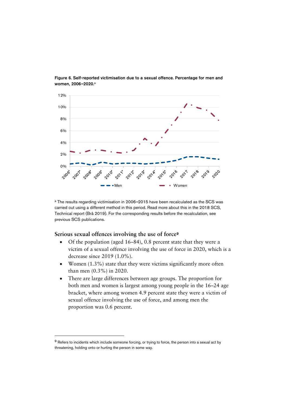

Figure 6. Self-reported victimisation due to a sexual offence. Percentage for men and women, 2006-2020.<sup>a</sup>

a The results regarding victimisation in 2006-2015 have been recalculated as the SCS was carried out using a different method in this period. Read more about this in the 2018 SCS, Technical report (Brå 2019). For the corresponding results before the recalculation, see previous SCS publications.

#### **Serious sexual offences involving the use of force**[9](#page-17-0)

- Of the population (aged 16–84), 0.8 percent state that they were a victim of a sexual offence involving the use of force in 2020, which is a decrease since 2019 (1.0%).
- Women  $(1.3\%)$  state that they were victims significantly more often than men (0.3%) in 2020.
- There are large differences between age groups. The proportion for both men and women is largest among young people in the 16–24 age bracket, where among women 4.9 percent state they were a victim of sexual offence involving the use of force, and among men the proportion was 0.6 percent.

<span id="page-17-0"></span><sup>&</sup>lt;sup>9</sup> Refers to incidents which include someone forcing, or trying to force, the person into a sexual act by threatening, holding onto or hurting the person in some way.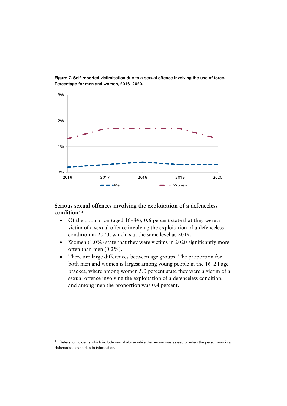

Figure 7. Self-reported victimisation due to a sexual offence involving the use of force. Percentage for men and women, 2016-2020.

#### **Serious sexual offences involving the exploitation of a defenceless condition**[10](#page-18-0)

- Of the population (aged 16–84), 0.6 percent state that they were a victim of a sexual offence involving the exploitation of a defenceless condition in 2020, which is at the same level as 2019.
- Women (1.0%) state that they were victims in 2020 significantly more often than men (0.2%).
- There are large differences between age groups. The proportion for both men and women is largest among young people in the 16–24 age bracket, where among women 5.0 percent state they were a victim of a sexual offence involving the exploitation of a defenceless condition, and among men the proportion was 0.4 percent.

<span id="page-18-0"></span> $10$  Refers to incidents which include sexual abuse while the person was asleep or when the person was in a defenceless state due to intoxication.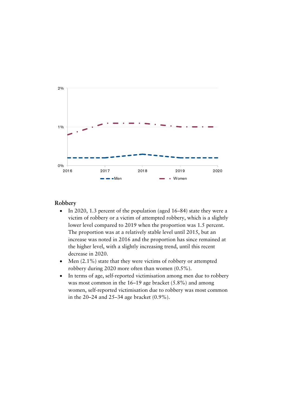

#### **Robbery**

- In 2020, 1.3 percent of the population (aged 16–84) state they were a victim of robbery or a victim of attempted robbery, which is a slightly lower level compared to 2019 when the proportion was 1.5 percent. The proportion was at a relatively stable level until 2015, but an increase was noted in 2016 and the proportion has since remained at the higher level, with a slightly increasing trend, until this recent decrease in 2020.
- Men (2.1%) state that they were victims of robbery or attempted robbery during 2020 more often than women (0.5%).
- In terms of age, self-reported victimisation among men due to robbery was most common in the 16–19 age bracket (5.8%) and among women, self-reported victimisation due to robbery was most common in the 20–24 and 25–34 age bracket (0.9%).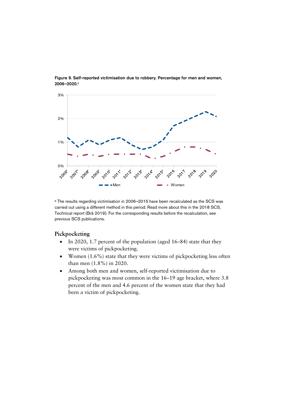

Figure 9. Self-reported victimisation due to robbery. Percentage for men and women, 2006-2020.a

<sup>a</sup> The results regarding victimisation in 2006-2015 have been recalculated as the SCS was carried out using a different method in this period. Read more about this in the 2018 SCS, Technical report (Brå 2019). For the corresponding results before the recalculation, see previous SCS publications.

#### **Pickpocketing**

- In 2020, 1.7 percent of the population (aged 16–84) state that they were victims of pickpocketing.
- Women (1.6%) state that they were victims of pickpocketing less often than men (1.8%) in 2020.
- Among both men and women, self-reported victimisation due to pickpocketing was most common in the 16–19 age bracket, where 3.8 percent of the men and 4.6 percent of the women state that they had been a victim of pickpocketing.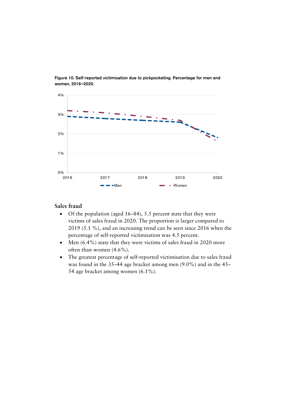

Figure 10. Self-reported victimisation due to pickpocketing. Percentage for men and women, 2016-2020.

#### **Sales fraud**

- Of the population (aged 16–84), 5.5 percent state that they were victims of sales fraud in 2020. The proportion is larger compared to 2019 (5.1 %), and an increasing trend can be seen since 2016 when the percentage of self-reported victimisation was 4.5 percent.
- Men (6.4%) state that they were victims of sales fraud in 2020 more often than women (4.6%).
- The greatest percentage of self-reported victimisation due to sales fraud was found in the 35–44 age bracket among men (9.0%) and in the 45– 54 age bracket among women (6.1%).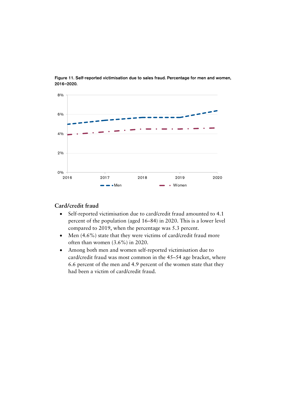

Figure 11. Self-reported victimisation due to sales fraud. Percentage for men and women, 2016--2020.

#### **Card/credit fraud**

- Self-reported victimisation due to card/credit fraud amounted to 4.1 percent of the population (aged 16–84) in 2020. This is a lower level compared to 2019, when the percentage was 5.3 percent.
- Men (4.6%) state that they were victims of card/credit fraud more often than women (3.6%) in 2020.
- Among both men and women self-reported victimisation due to card/credit fraud was most common in the 45–54 age bracket, where 6.6 percent of the men and 4.9 percent of the women state that they had been a victim of card/credit fraud.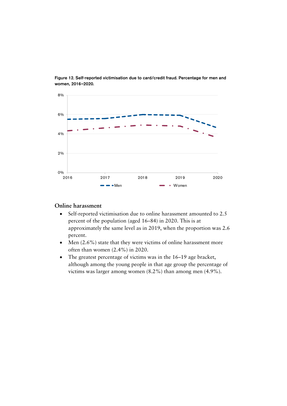

Figure 12. Self-reported victimisation due to card/credit fraud. Percentage for men and women, 2016-2020.

#### **Online harassment**

- Self-reported victimisation due to online harassment amounted to 2.5 percent of the population (aged 16–84) in 2020. This is at approximately the same level as in 2019, when the proportion was 2.6 percent.
- Men (2.6%) state that they were victims of online harassment more often than women (2.4%) in 2020.
- The greatest percentage of victims was in the 16–19 age bracket, although among the young people in that age group the percentage of victims was larger among women (8.2%) than among men (4.9%).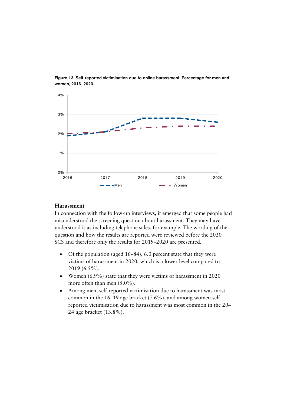

Figure 13. Self-reported victimisation due to online harassment. Percentage for men and women, 2016-2020.

#### **Harassment**

In connection with the follow-up interviews, it emerged that some people had misunderstood the screening question about harassment. They may have understood it as including telephone sales, for example. The wording of the question and how the results are reported were reviewed before the 2020 SCS and therefore only the results for 2019–2020 are presented.

- Of the population (aged 16–84), 6.0 percent state that they were victims of harassment in 2020, which is a lower level compared to 2019 (6.5%).
- Women (6.9%) state that they were victims of harassment in 2020 more often than men (5.0%).
- Among men, self-reported victimisation due to harassment was most common in the 16–19 age bracket (7.6%), and among women selfreported victimisation due to harassment was most common in the 20– 24 age bracket (13.8%).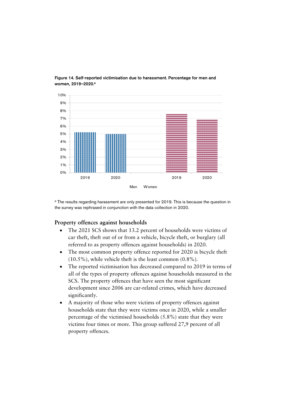

Figure 14. Self-reported victimisation due to harassment. Percentage for men and women, 2019-2020.<sup>a</sup>

<sup>a</sup> The results regarding harassment are only presented for 2019. This is because the question in the survey was rephrased in conjunction with the data collection in 2020.

#### **Property offences against households**

- The 2021 SCS shows that 13.2 percent of households were victims of car theft, theft out of or from a vehicle, bicycle theft, or burglary (all referred to as property offences against households) in 2020.
- The most common property offence reported for 2020 is bicycle theft (10.5%), while vehicle theft is the least common (0.8%).
- The reported victimisation has decreased compared to 2019 in terms of all of the types of property offences against households measured in the SCS. The property offences that have seen the most significant development since 2006 are car-related crimes, which have decreased significantly.
- A majority of those who were victims of property offences against households state that they were victims once in 2020, while a smaller percentage of the victimised households (5.8%) state that they were victims four times or more. This group suffered 27,9 percent of all property offences.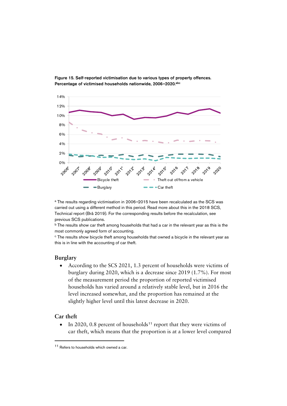

Figure 15. Self-reported victimisation due to various types of property offences. Percentage of victimised households nationwide, 2006-2020.abc

a The results regarding victimisation in 2006-2015 have been recalculated as the SCS was carried out using a different method in this period. Read more about this in the 2018 SCS, Technical report (Brå 2019). For the corresponding results before the recalculation, see previous SCS publications.

b The results show car theft among households that had a car in the relevant year as this is the most commonly agreed form of accounting.

<sup>c</sup> The results show bicycle theft among households that owned a bicycle in the relevant year as this is in line with the accounting of car theft.

#### **Burglary**

• According to the SCS 2021, 1.3 percent of households were victims of burglary during 2020, which is a decrease since 2019 (1.7%). For most of the measurement period the proportion of reported victimised households has varied around a relatively stable level, but in 2016 the level increased somewhat, and the proportion has remained at the slightly higher level until this latest decrease in 2020.

#### **Car theft**

 $\overline{a}$ 

• In 2020, 0.8 percent of households<sup>[11](#page-26-0)</sup> report that they were victims of car theft, which means that the proportion is at a lower level compared

<span id="page-26-0"></span><sup>&</sup>lt;sup>11</sup> Refers to households which owned a car.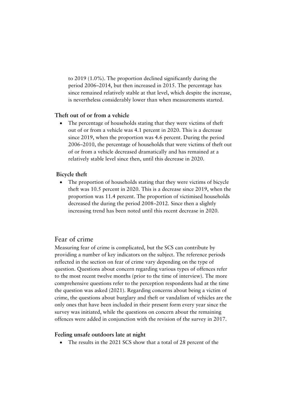to 2019 (1.0%). The proportion declined significantly during the period 2006–2014, but then increased in 2015. The percentage has since remained relatively stable at that level, which despite the increase, is nevertheless considerably lower than when measurements started.

#### **Theft out of or from a vehicle**

The percentage of households stating that they were victims of theft out of or from a vehicle was 4.1 percent in 2020. This is a decrease since 2019, when the proportion was 4.6 percent. During the period 2006–2010, the percentage of households that were victims of theft out of or from a vehicle decreased dramatically and has remained at a relatively stable level since then, until this decrease in 2020.

#### **Bicycle theft**

• The proportion of households stating that they were victims of bicycle theft was 10.5 percent in 2020. This is a decrease since 2019, when the proportion was 11.4 percent. The proportion of victimised households decreased the during the period 2008–2012. Since then a slightly increasing trend has been noted until this recent decrease in 2020.

#### <span id="page-27-0"></span>Fear of crime

Measuring fear of crime is complicated, but the SCS can contribute by providing a number of key indicators on the subject. The reference periods reflected in the section on fear of crime vary depending on the type of question. Questions about concern regarding various types of offences refer to the most recent twelve months (prior to the time of interview). The more comprehensive questions refer to the perception respondents had at the time the question was asked (2021). Regarding concerns about being a victim of crime, the questions about burglary and theft or vandalism of vehicles are the only ones that have been included in their present form every year since the survey was initiated, while the questions on concern about the remaining offences were added in conjunction with the revision of the survey in 2017.

#### **Feeling unsafe outdoors late at night**

• The results in the 2021 SCS show that a total of 28 percent of the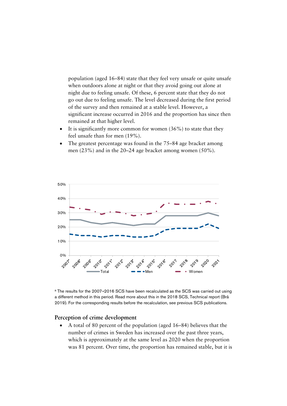population (aged 16–84) state that they feel very unsafe or quite unsafe when outdoors alone at night or that they avoid going out alone at night due to feeling unsafe. Of these, 6 percent state that they do not go out due to feeling unsafe. The level decreased during the first period of the survey and then remained at a stable level. However, a significant increase occurred in 2016 and the proportion has since then remained at that higher level.

- It is significantly more common for women  $(36%)$  to state that they feel unsafe than for men (19%).
- The greatest percentage was found in the 75–84 age bracket among men (23%) and in the 20–24 age bracket among women (50%).



<sup>a</sup> The results for the 2007-2016 SCS have been recalculated as the SCS was carried out using a different method in this period. Read more about this in the 2018 SCS, Technical report (Brå 2019). For the corresponding results before the recalculation, see previous SCS publications.

#### **Perception of crime development**

• A total of 80 percent of the population (aged 16–84) believes that the number of crimes in Sweden has increased over the past three years, which is approximately at the same level as 2020 when the proportion was 81 percent. Over time, the proportion has remained stable, but it is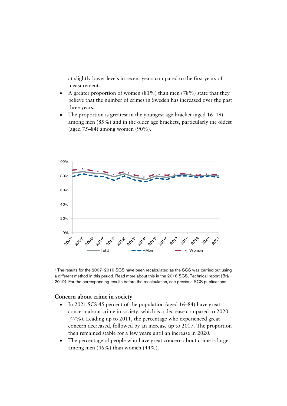at slightly lower levels in recent years compared to the first years of measurement.

- A greater proportion of women  $(81\%)$  than men  $(78\%)$  state that they believe that the number of crimes in Sweden has increased over the past three years.
- The proportion is greatest in the youngest age bracket (aged 16–19) among men (85%) and in the older age brackets, particularly the oldest (aged 75–84) among women (90%).



a The results for the 2007-2016 SCS have been recalculated as the SCS was carried out using a different method in this period. Read more about this in the 2018 SCS, Technical report (Brå 2019). For the corresponding results before the recalculation, see previous SCS publications.

#### **Concern about crime in society**

- In 2021 SCS 45 percent of the population (aged 16–84) have great concern about crime in society, which is a decrease compared to 2020 (47%). Leading up to 2011, the percentage who experienced great concern decreased, followed by an increase up to 2017. The proportion then remained stable for a few years until an increase in 2020.
- The percentage of people who have great concern about crime is larger among men (46%) than women (44%).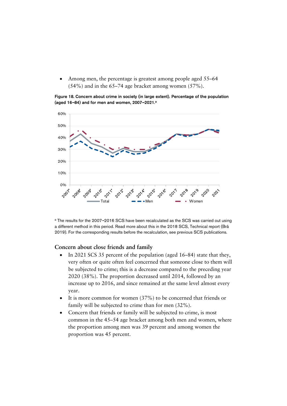Among men, the percentage is greatest among people aged 55–64 (54%) and in the 65–74 age bracket among women (57%).

Figure 18. Concern about crime in society (in large extent). Percentage of the population (aged 16-84) and for men and women,  $2007 - 2021$ .<sup>a</sup>



<sup>a</sup> The results for the 2007-2016 SCS have been recalculated as the SCS was carried out using a different method in this period. Read more about this in the 2018 SCS, Technical report (Brå 2019). For the corresponding results before the recalculation, see previous SCS publications.

#### **Concern about close friends and family**

- In 2021 SCS 35 percent of the population (aged 16–84) state that they, very often or quite often feel concerned that someone close to them will be subjected to crime; this is a decrease compared to the preceding year 2020 (38%). The proportion decreased until 2014, followed by an increase up to 2016, and since remained at the same level almost every year.
- It is more common for women (37%) to be concerned that friends or family will be subjected to crime than for men (32%).
- Concern that friends or family will be subjected to crime, is most common in the 45–54 age bracket among both men and women, where the proportion among men was 39 percent and among women the proportion was 45 percent.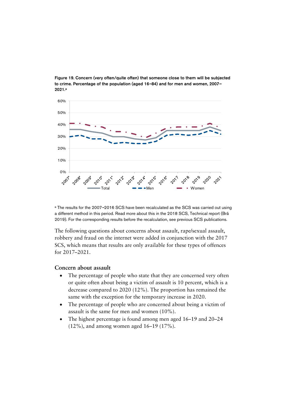

Figure 19. Concern (very often/quite often) that someone close to them will be subjected to crime. Percentage of the population (aged 16-84) and for men and women, 2007-2021.a

a The results for the 2007-2016 SCS have been recalculated as the SCS was carried out using a different method in this period. Read more about this in the 2018 SCS, Technical report (Brå 2019). For the corresponding results before the recalculation, see previous SCS publications.

The following questions about concerns about assault, rape/sexual assault, robbery and fraud on the internet were added in conjunction with the 2017 SCS, which means that results are only available for these types of offences for 2017–2021.

#### **Concern about assault**

- The percentage of people who state that they are concerned very often or quite often about being a victim of assault is 10 percent, which is a decrease compared to 2020 (12%). The proportion has remained the same with the exception for the temporary increase in 2020.
- The percentage of people who are concerned about being a victim of assault is the same for men and women (10%).
- The highest percentage is found among men aged 16–19 and 20–24 (12%), and among women aged 16–19 (17%).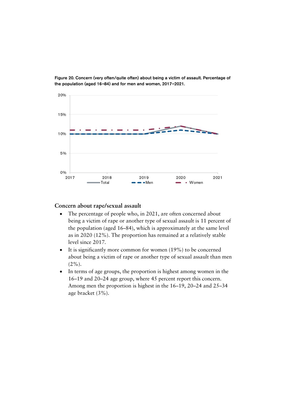

Figure 20. Concern (very often/quite often) about being a victim of assault. Percentage of the population (aged 16-84) and for men and women, 2017-2021.

#### **Concern about rape/sexual assault**

- The percentage of people who, in 2021, are often concerned about being a victim of rape or another type of sexual assault is 11 percent of the population (aged 16–84), which is approximately at the same level as in 2020 (12%). The proportion has remained at a relatively stable level since 2017.
- It is significantly more common for women (19%) to be concerned about being a victim of rape or another type of sexual assault than men  $(2\%)$ .
- In terms of age groups, the proportion is highest among women in the 16–19 and 20–24 age group, where 45 percent report this concern. Among men the proportion is highest in the 16–19, 20–24 and 25–34 age bracket (3%).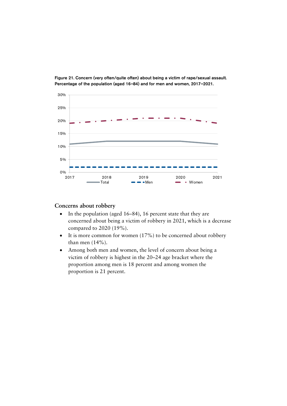

Figure 21. Concern (very often/quite often) about being a victim of rape/sexual assault. Percentage of the population (aged 16-84) and for men and women, 2017-2021.

#### **Concerns about robbery**

- In the population (aged 16–84), 16 percent state that they are concerned about being a victim of robbery in 2021, which is a decrease compared to 2020 (19%).
- It is more common for women (17%) to be concerned about robbery than men (14%).
- Among both men and women, the level of concern about being a victim of robbery is highest in the 20–24 age bracket where the proportion among men is 18 percent and among women the proportion is 21 percent.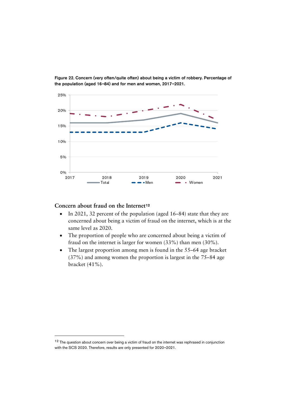

Figure 22. Concern (very often/quite often) about being a victim of robbery. Percentage of the population (aged 16-84) and for men and women, 2017-2021.

#### **Concern about fraud on the Internet**[12](#page-34-0)

- In 2021, 32 percent of the population (aged 16–84) state that they are concerned about being a victim of fraud on the internet, which is at the same level as 2020.
- The proportion of people who are concerned about being a victim of fraud on the internet is larger for women (33%) than men (30%).
- The largest proportion among men is found in the 55–64 age bracket (37%) and among women the proportion is largest in the 75–84 age bracket (41%).

<span id="page-34-0"></span><sup>&</sup>lt;sup>12</sup> The question about concern over being a victim of fraud on the internet was rephrased in conjunction with the SCS 2020. Therefore, results are only presented for 2020-2021.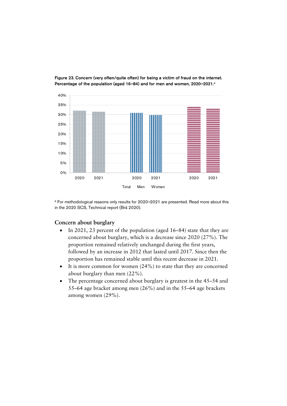

Figure 23. Concern (very often/quite often) for being a victim of fraud on the internet. Percentage of the population (aged 16-84) and for men and women, 2020-2021.<sup>a</sup>

a For methodological reasons only results for 2020-2021 are presented. Read more about this in the 2020 SCS, Technical report (Brå 2020).

#### **Concern about burglary**

- In 2021, 23 percent of the population (aged 16–84) state that they are concerned about burglary, which is a decrease since 2020 (27%). The proportion remained relatively unchanged during the first years, followed by an increase in 2012 that lasted until 2017. Since then the proportion has remained stable until this recent decrease in 2021.
- It is more common for women (24%) to state that they are concerned about burglary than men (22%).
- The percentage concerned about burglary is greatest in the 45–54 and 55–64 age bracket among men (26%) and in the 55–64 age brackets among women (29%).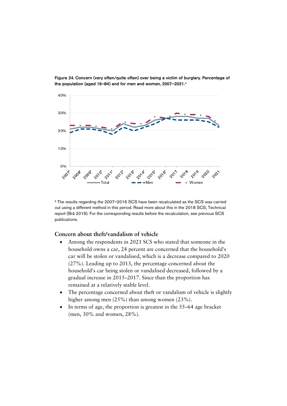

Figure 24. Concern (very often/quite often) over being a victim of burglary. Percentage of the population (aged 16-84) and for men and women, 2007-2021.<sup>a</sup>

a The results regarding the 2007-2016 SCS have been recalculated as the SCS was carried out using a different method in this period. Read more about this in the 2018 SCS, Technical report (Brå 2019). For the corresponding results before the recalculation, see previous SCS publications.

#### **Concern about theft/vandalism of vehicle**

- Among the respondents in 2021 SCS who stated that someone in the household owns a car, 24 percent are concerned that the household's car will be stolen or vandalised, which is a decrease compared to 2020 (27%). Leading up to 2013, the percentage concerned about the household's car being stolen or vandalised decreased, followed by a gradual increase in 2015–2017. Since than the proportion has remained at a relatively stable level.
- The percentage concerned about theft or vandalism of vehicle is slightly higher among men (25%) than among women (23%).
- In terms of age, the proportion is greatest in the 55–64 age bracket (men, 30% and women, 28%).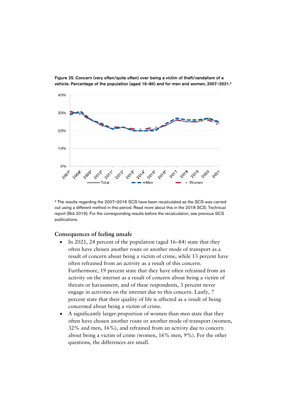

Figure 25. Concern (very often/quite often) over being a victim of theft/vandalism of a vehicle. Percentage of the population (aged 16-84) and for men and women, 2007-2021.<sup>a</sup>

<sup>a</sup> The results regarding the 2007-2016 SCS have been recalculated as the SCS was carried out using a different method in this period. Read more about this in the 2018 SCS, Technical report (Brå 2019). For the corresponding results before the recalculation, see previous SCS publications.

#### **Consequences of feeling unsafe**

- In 2021, 24 percent of the population (aged 16–84) state that they often have chosen another route or another mode of transport as a result of concern about being a victim of crime, while 13 percent have often refrained from an activity as a result of this concern. Furthermore, 19 percent state that they have often refrained from an activity on the internet as a result of concern about being a victim of threats or harassment, and of these respondents, 3 percent never engage in activities on the internet due to this concern. Lastly, 7 percent state that their quality of life is affected as a result of being concerned about being a victim of crime.
- A significantly larger proportion of women than men state that they often have chosen another route or another mode of transport (women, 32% and men, 16%), and refrained from an activity due to concern about being a victim of crime (women, 16% men, 9%). For the other questions, the differences are small.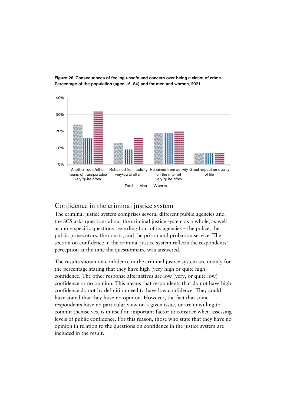

Figure 26. Consequences of feeling unsafe and concern over being a victim of crime. Percentage of the population (aged 16-84) and for men and women, 2021.

### <span id="page-38-0"></span>Confidence in the criminal justice system

The criminal justice system comprises several different public agencies and the SCS asks questions about the criminal justice system as a whole, as well as more specific questions regarding four of its agencies – the police, the public prosecutors, the courts, and the prison and probation service. The section on confidence in the criminal justice system reflects the respondents' perception at the time the questionnaire was answered.

The results shown on confidence in the criminal justice system are mainly for the percentage stating that they have high (very high or quite high) confidence. The other response alternatives are low (very, or quite low) confidence or no opinion. This means that respondents that do not have high confidence do not by definition need to have low confidence. They could have stated that they have no opinion. However, the fact that some respondents have no particular view on a given issue, or are unwilling to commit themselves, is in itself an important factor to consider when assessing levels of public confidence. For this reason, those who state that they have no opinion in relation to the questions on confidence in the justice system are included in the result.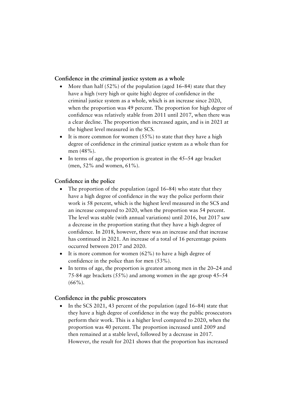#### **Confidence in the criminal justice system as a whole**

- More than half  $(52\%)$  of the population (aged 16–84) state that they have a high (very high or quite high) degree of confidence in the criminal justice system as a whole, which is an increase since 2020, when the proportion was 49 percent. The proportion for high degree of confidence was relatively stable from 2011 until 2017, when there was a clear decline. The proportion then increased again, and is in 2021 at the highest level measured in the SCS.
- It is more common for women  $(55\%)$  to state that they have a high degree of confidence in the criminal justice system as a whole than for men (48%).
- In terms of age, the proportion is greatest in the 45–54 age bracket (men, 52% and women, 61%).

#### **Confidence in the police**

- The proportion of the population (aged  $16-84$ ) who state that they have a high degree of confidence in the way the police perform their work is 58 percent, which is the highest level measured in the SCS and an increase compared to 2020, when the proportion was 54 percent. The level was stable (with annual variations) until 2016, but 2017 saw a decrease in the proportion stating that they have a high degree of confidence. In 2018, however, there was an increase and that increase has continued in 2021. An increase of a total of 16 percentage points occurred between 2017 and 2020.
- It is more common for women  $(62%)$  to have a high degree of confidence in the police than for men (53%).
- In terms of age, the proportion is greatest among men in the 20–24 and 75-84 age brackets (55%) and among women in the age group 45–54  $(66\%)$ .

#### **Confidence in the public prosecutors**

• In the SCS 2021, 43 percent of the population (aged 16–84) state that they have a high degree of confidence in the way the public prosecutors perform their work. This is a higher level compared to 2020, when the proportion was 40 percent. The proportion increased until 2009 and then remained at a stable level, followed by a decrease in 2017. However, the result for 2021 shows that the proportion has increased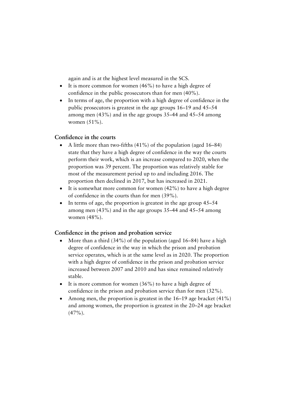again and is at the highest level measured in the SCS.

- It is more common for women  $(46%)$  to have a high degree of confidence in the public prosecutors than for men (40%).
- In terms of age, the proportion with a high degree of confidence in the public prosecutors is greatest in the age groups 16–19 and 45–54 among men (43%) and in the age groups 35–44 and 45–54 among women (51%).

#### **Confidence in the courts**

- A little more than two-fifths (41%) of the population (aged 16–84) state that they have a high degree of confidence in the way the courts perform their work, which is an increase compared to 2020, when the proportion was 39 percent. The proportion was relatively stable for most of the measurement period up to and including 2016. The proportion then declined in 2017, but has increased in 2021.
- It is somewhat more common for women  $(42\%)$  to have a high degree of confidence in the courts than for men (39%).
- In terms of age, the proportion is greatest in the age group 45–54 among men (43%) and in the age groups 35–44 and 45–54 among women (48%).

#### **Confidence in the prison and probation service**

- More than a third  $(34\%)$  of the population (aged 16–84) have a high degree of confidence in the way in which the prison and probation service operates, which is at the same level as in 2020. The proportion with a high degree of confidence in the prison and probation service increased between 2007 and 2010 and has since remained relatively stable.
- It is more common for women (36%) to have a high degree of confidence in the prison and probation service than for men (32%).
- Among men, the proportion is greatest in the  $16-19$  age bracket  $(41\%)$ and among women, the proportion is greatest in the 20–24 age bracket  $(47\%)$ .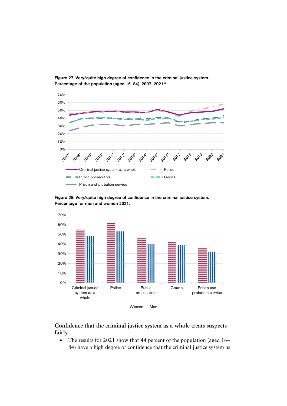

Figure 27. Very/quite high degree of confidence in the criminal justice system. Percentage of the population (aged 16-84), 2007-2021.<sup>a</sup>

Figure 28. Very/quite high degree of confidence in the criminal justice system. Percentage for men and women 2021.



#### **Confidence that the criminal justice system as a whole treats suspects fairly**

• The results for 2021 show that 44 percent of the population (aged 16– 84) have a high degree of confidence that the criminal justice system as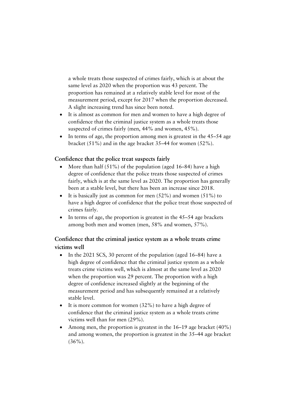a whole treats those suspected of crimes fairly, which is at about the same level as 2020 when the proportion was 43 percent. The proportion has remained at a relatively stable level for most of the measurement period, except for 2017 when the proportion decreased. A slight increasing trend has since been noted.

- It is almost as common for men and women to have a high degree of confidence that the criminal justice system as a whole treats those suspected of crimes fairly (men, 44% and women, 45%).
- In terms of age, the proportion among men is greatest in the 45–54 age bracket (51%) and in the age bracket 35–44 for women (52%).

#### **Confidence that the police treat suspects fairly**

- More than half  $(51\%)$  of the population (aged 16–84) have a high degree of confidence that the police treats those suspected of crimes fairly, which is at the same level as 2020. The proportion has generally been at a stable level, but there has been an increase since 2018.
- It is basically just as common for men  $(52\%)$  and women  $(51\%)$  to have a high degree of confidence that the police treat those suspected of crimes fairly.
- In terms of age, the proportion is greatest in the 45–54 age brackets among both men and women (men, 58% and women, 57%).

### **Confidence that the criminal justice system as a whole treats crime victims well**

- In the 2021 SCS, 30 percent of the population (aged 16–84) have a high degree of confidence that the criminal justice system as a whole treats crime victims well, which is almost at the same level as 2020 when the proportion was 29 percent. The proportion with a high degree of confidence increased slightly at the beginning of the measurement period and has subsequently remained at a relatively stable level.
- It is more common for women (32%) to have a high degree of confidence that the criminal justice system as a whole treats crime victims well than for men (29%).
- Among men, the proportion is greatest in the 16–19 age bracket (40%) and among women, the proportion is greatest in the 35–44 age bracket  $(36\%)$ .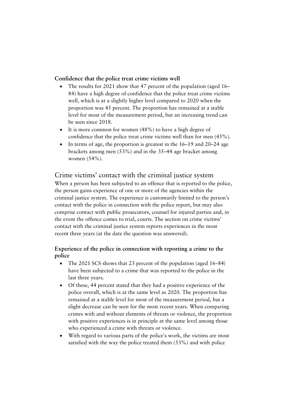#### **Confidence that the police treat crime victims well**

- The results for 2021 show that 47 percent of the population (aged 16– 84) have a high degree of confidence that the police treat crime victims well, which is at a slightly higher level compared to 2020 when the proportion was 45 percent. The proportion has remained at a stable level for most of the measurement period, but an increasing trend can be seen since 2018.
- It is more common for women (48%) to have a high degree of confidence that the police treat crime victims well than for men (45%).
- In terms of age, the proportion is greatest in the 16–19 and 20–24 age brackets among men (53%) and in the 35–44 age bracket among women (54%).

### <span id="page-43-0"></span>Crime victims' contact with the criminal justice system

When a person has been subjected to an offence that is reported to the police, the person gains experience of one or more of the agencies within the criminal justice system. The experience is customarily limited to the person's contact with the police in connection with the police report, but may also comprise contact with public prosecutors, counsel for injured parties and, in the event the offence comes to trial, courts. The section on crime victims' contact with the criminal justice system reports experiences in the most recent three years (at the date the question was answered).

#### **Experience of the police in connection with reporting a crime to the police**

- The 2021 SCS shows that 23 percent of the population (aged 16–84) have been subjected to a crime that was reported to the police in the last three years.
- Of these, 44 percent stated that they had a positive experience of the police overall, which is at the same level as 2020. The proportion has remained at a stable level for most of the measurement period, but a slight decrease can be seen for the most recent years. When comparing crimes with and without elements of threats or violence, the proportion with positive experiences is in principle at the same level among those who experienced a crime with threats or violence.
- With regard to various parts of the police's work, the victims are most satisfied with the way the police treated them (53%) and with police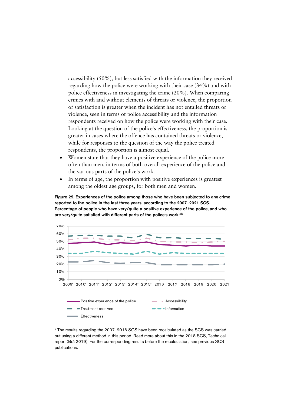accessibility (50%), but less satisfied with the information they received regarding how the police were working with their case (34%) and with police effectiveness in investigating the crime (20%). When comparing crimes with and without elements of threats or violence, the proportion of satisfaction is greater when the incident has not entailed threats or violence, seen in terms of police accessibility and the information respondents received on how the police were working with their case. Looking at the question of the police's effectiveness, the proportion is greater in cases where the offence has contained threats or violence, while for responses to the question of the way the police treated respondents, the proportion is almost equal.

- Women state that they have a positive experience of the police more often than men, in terms of both overall experience of the police and the various parts of the police's work.
- In terms of age, the proportion with positive experiences is greatest among the oldest age groups, for both men and women.

Figure 29. Experiences of the police among those who have been subjected to any crime reported to the police in the last three years, according to the 2007-2021 SCS. Percentage of people who have very/quite a positive experience of the police, and who are very/quite satisfied with different parts of the police's work.<sup>ab</sup>



<sup>a</sup> The results regarding the 2007-2016 SCS have been recalculated as the SCS was carried out using a different method in this period. Read more about this in the 2018 SCS, Technical report (Brå 2019). For the corresponding results before the recalculation, see previous SCS publications.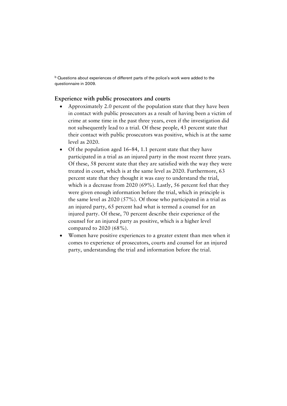<sup>b</sup> Questions about experiences of different parts of the police's work were added to the questionnaire in 2009.

#### **Experience with public prosecutors and courts**

- Approximately 2.0 percent of the population state that they have been in contact with public prosecutors as a result of having been a victim of crime at some time in the past three years, even if the investigation did not subsequently lead to a trial. Of these people, 43 percent state that their contact with public prosecutors was positive, which is at the same level as 2020.
- Of the population aged 16–84, 1.1 percent state that they have participated in a trial as an injured party in the most recent three years. Of these, 58 percent state that they are satisfied with the way they were treated in court, which is at the same level as 2020. Furthermore, 63 percent state that they thought it was easy to understand the trial, which is a decrease from 2020 (69%). Lastly, 56 percent feel that they were given enough information before the trial, which in principle is the same level as 2020 (57%). Of those who participated in a trial as an injured party, 65 percent had what is termed a counsel for an injured party. Of these, 70 percent describe their experience of the counsel for an injured party as positive, which is a higher level compared to 2020 (68%).
- Women have positive experiences to a greater extent than men when it comes to experience of prosecutors, courts and counsel for an injured party, understanding the trial and information before the trial.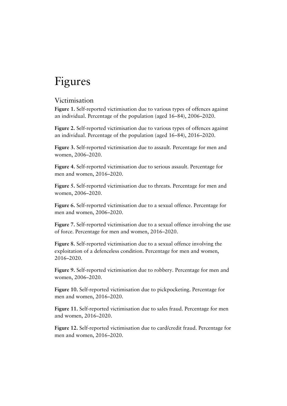# <span id="page-46-0"></span>Figures

#### <span id="page-46-1"></span>Victimisation

**Figure 1.** Self-reported victimisation due to various types of offences against an individual. Percentage of the population (aged 16–84), 2006–2020.

**Figure 2.** Self-reported victimisation due to various types of offences against an individual. Percentage of the population (aged 16–84), 2016–2020.

**Figure 3.** Self-reported victimisation due to assault. Percentage for men and women, 2006–2020.

**Figure 4.** Self-reported victimisation due to serious assault. Percentage for men and women, 2016–2020.

**Figure 5.** Self-reported victimisation due to threats. Percentage for men and women, 2006–2020.

**Figure 6.** Self-reported victimisation due to a sexual offence. Percentage for men and women, 2006–2020.

**Figure 7.** Self-reported victimisation due to a sexual offence involving the use of force. Percentage for men and women, 2016–2020.

**Figure 8.** Self-reported victimisation due to a sexual offence involving the exploitation of a defenceless condition. Percentage for men and women, 2016–2020.

**Figure 9.** Self-reported victimisation due to robbery. Percentage for men and women, 2006–2020.

**Figure 10.** Self-reported victimisation due to pickpocketing. Percentage for men and women, 2016–2020.

**Figure 11.** Self-reported victimisation due to sales fraud. Percentage for men and women, 2016–2020.

**Figure 12.** Self-reported victimisation due to card/credit fraud. Percentage for men and women, 2016–2020.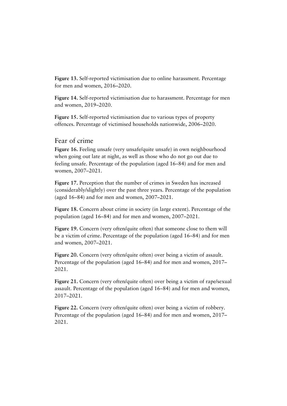**Figure 13.** Self-reported victimisation due to online harassment. Percentage for men and women, 2016–2020.

**Figure 14.** Self-reported victimisation due to harassment. Percentage for men and women, 2019–2020.

**Figure 15.** Self-reported victimisation due to various types of property offences. Percentage of victimised households nationwide, 2006–2020.

#### <span id="page-47-0"></span>Fear of crime

**Figure 16.** Feeling unsafe (very unsafe/quite unsafe) in own neighbourhood when going out late at night, as well as those who do not go out due to feeling unsafe. Percentage of the population (aged 16–84) and for men and women, 2007–2021.

**Figure 17.** Perception that the number of crimes in Sweden has increased (considerably/slightly) over the past three years. Percentage of the population (aged 16–84) and for men and women, 2007–2021.

**Figure 18.** Concern about crime in society (in large extent). Percentage of the population (aged 16–84) and for men and women, 2007–2021.

**Figure 19.** Concern (very often/quite often) that someone close to them will be a victim of crime. Percentage of the population (aged 16–84) and for men and women, 2007–2021.

**Figure 20.** Concern (very often/quite often) over being a victim of assault. Percentage of the population (aged 16–84) and for men and women, 2017– 2021.

**Figure 21.** Concern (very often/quite often) over being a victim of rape/sexual assault. Percentage of the population (aged 16–84) and for men and women, 2017–2021.

**Figure 22.** Concern (very often/quite often) over being a victim of robbery. Percentage of the population (aged 16–84) and for men and women, 2017– 2021.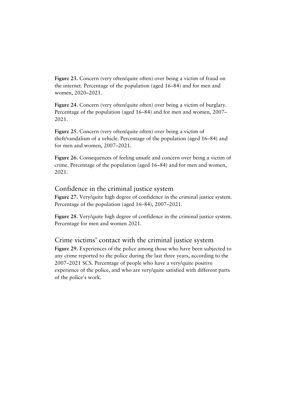**Figure 23.** Concern (very often/quite often) over being a victim of fraud on the internet. Percentage of the population (aged 16–84) and for men and women, 2020–2021.

**Figure 24.** Concern (very often/quite often) over being a victim of burglary. Percentage of the population (aged 16–84) and for men and women, 2007– 2021.

**Figure 25.** Concern (very often/quite often) over being a victim of theft/vandalism of a vehicle. Percentage of the population (aged 16–84) and for men and women, 2007–2021.

**Figure 26.** Consequences of feeling unsafe and concern over being a victim of crime. Percentage of the population (aged 16–84) and for men and women, 2021.

#### <span id="page-48-0"></span>Confidence in the criminal justice system

**Figure 27.** Very/quite high degree of confidence in the criminal justice system. Percentage of the population (aged 16–84), 2007–2021.

**Figure 28.** Very/quite high degree of confidence in the criminal justice system. Percentage for men and women 2021.

#### <span id="page-48-1"></span>Crime victims' contact with the criminal justice system

**Figure 29.** Experiences of the police among those who have been subjected to any crime reported to the police during the last three years, according to the 2007–2021 SCS. Percentage of people who have a very/quite positive experience of the police, and who are very/quite satisfied with different parts of the police's work.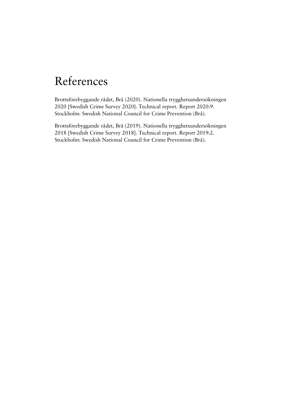# <span id="page-49-0"></span>References

Brottsförebyggande rådet, Brå (2020). Nationella trygghetsundersökningen 2020 [Swedish Crime Survey 2020]. Technical report. Report 2020:9. Stockholm: Swedish National Council for Crime Prevention (Brå).

Brottsförebyggande rådet, Brå (2019). Nationella trygghetsundersökningen 2018 [Swedish Crime Survey 2018]. Technical report. Report 2019:2. Stockholm: Swedish National Council for Crime Prevention (Brå).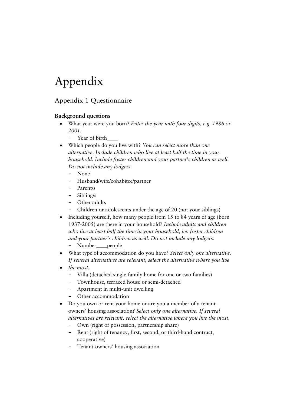# <span id="page-50-0"></span>Appendix

### <span id="page-50-1"></span>Appendix 1 Questionnaire

#### **Background questions**

- What year were you born? *Enter the year with four digits, e.g. 1986 or 2001.*
	- − Year of birth\_\_\_\_
- Which people do you live with? *You can select more than one alternative. Include children who live at least half the time in your household. Include foster children and your partner's children as well. Do not include any lodgers.*
	- None
	- − Husband/wife/cohabitee/partner
	- − Parent/s
	- − Sibling/s
	- − Other adults
	- − Children or adolescents under the age of 20 (not your siblings)
- Including yourself, how many people from 15 to 84 years of age (born 1937-2005) are there in your household? *Include adults and children who live at least half the time in your household, i.e. foster children and your partner's children as well. Do not include any lodgers.*
	- − Number\_\_\_\_people
- What type of accommodation do you have? *Select only one alternative. If several alternatives are relevant, select the alternative where you live*
- *the most.*
	- − Villa (detached single-family home for one or two families)
	- − Townhouse, terraced house or semi-detached
	- − Apartment in multi-unit dwelling
	- − Other accommodation
- Do you own or rent your home or are you a member of a tenantowners' housing association*? Select only one alternative. If several alternatives are relevant, select the alternative where you live the most.*
	- − Own (right of possession, partnership share)
	- Rent (right of tenancy, first, second, or third-hand contract, cooperative)
	- − Tenant-owners' housing association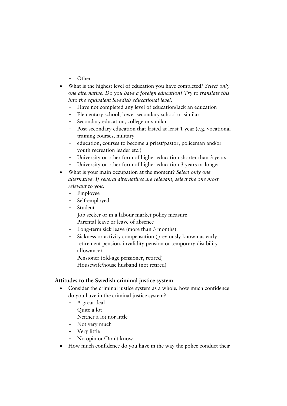- − Other
- What is the highest level of education you have completed? *Select only one alternative. Do you have a foreign education? Try to translate this into the equivalent Swedish educational level.*
	- − Have not completed any level of education/lack an education
	- − Elementary school, lower secondary school or similar
	- Secondary education, college or similar
	- − Post-secondary education that lasted at least 1 year (e.g. vocational training courses, military
	- − education, courses to become a priest/pastor, policeman and/or youth recreation leader etc.)
	- University or other form of higher education shorter than 3 years
	- University or other form of higher education 3 years or longer
- What is your main occupation at the moment? *Select only one alternative. If several alternatives are relevant, select the one most relevant to you.*
	- − Employee
	- − Self-employed
	- − Student
	- − Job seeker or in a labour market policy measure
	- Parental leave or leave of absence
	- − Long-term sick leave (more than 3 months)
	- − Sickness or activity compensation (previously known as early retirement pension, invalidity pension or temporary disability allowance)
	- − Pensioner (old-age pensioner, retired)
	- − Housewife/house husband (not retired)

#### **Attitudes to the Swedish criminal justice system**

- Consider the criminal justice system as a whole, how much confidence do you have in the criminal justice system?
	- − A great deal
	- − Quite a lot
	- − Neither a lot nor little
	- − Not very much
	- − Very little
	- − No opinion/Don't know
- How much confidence do you have in the way the police conduct their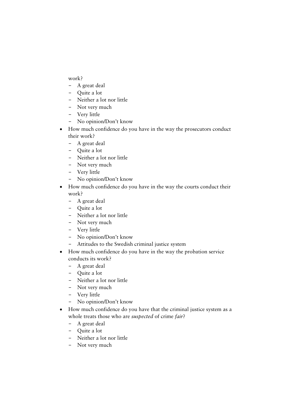work?

- − A great deal
- − Quite a lot
- − Neither a lot nor little
- − Not very much
- − Very little
- − No opinion/Don't know
- How much confidence do you have in the way the prosecutors conduct their work?
	- − A great deal
	- − Quite a lot
	- − Neither a lot nor little
	- − Not very much
	- − Very little
	- − No opinion/Don't know
- How much confidence do you have in the way the courts conduct their work?
	- − A great deal
	- − Quite a lot
	- − Neither a lot nor little
	- − Not very much
	- − Very little
	- − No opinion/Don't know
	- − Attitudes to the Swedish criminal justice system
- How much confidence do you have in the way the probation service conducts its work?
	- − A great deal
	- − Quite a lot
	- − Neither a lot nor little
	- − Not very much
	- − Very little
	- − No opinion/Don't know
- How much confidence do you have that the criminal justice system as a whole treats those who are *suspected* of crime *fair*?
	- − A great deal
	- − Quite a lot
	- − Neither a lot nor little
	- − Not very much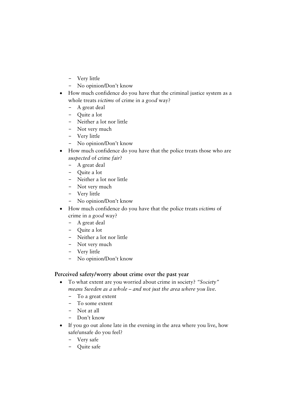- − Very little
- − No opinion/Don't know
- How much confidence do you have that the criminal justice system as a whole treats *victims* of crime in a *good* way?
	- − A great deal
	- − Quite a lot
	- − Neither a lot nor little
	- − Not very much
	- − Very little
	- − No opinion/Don't know
- How much confidence do you have that the police treats those who are *suspected* of crime *fair*?
	- − A great deal
	- − Quite a lot
	- − Neither a lot nor little
	- − Not very much
	- − Very little
	- − No opinion/Don't know
- How much confidence do you have that the police treats *victims* of crime in a *good* way?
	- − A great deal
	- − Quite a lot
	- − Neither a lot nor little
	- − Not very much
	- − Very little
	- − No opinion/Don't know

#### **Perceived safety/worry about crime over the past year**

- To what extent are you worried about crime in society? *"Society" means Sweden as a whole – and not just the area where you live.*
	- − To a great extent
	- − To some extent
	- − Not at all
	- − Don't know
- If you go out alone late in the evening in the area where you live, how safe/unsafe do you feel?
	- − Very safe
	- − Quite safe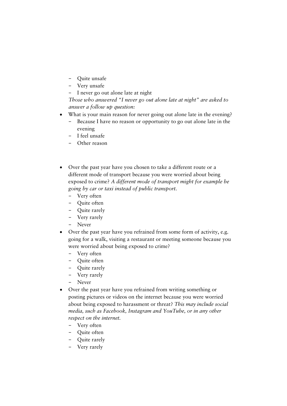- − Quite unsafe
- − Very unsafe
- − I never go out alone late at night

*Those who answered "I never go out alone late at night" are asked to answer a follow up question:*

- What is your main reason for never going out alone late in the evening?
	- − Because I have no reason or opportunity to go out alone late in the evening
	- − I feel unsafe
	- Other reason
- Over the past year have you chosen to take a different route or a different mode of transport because you were worried about being exposed to crime? *A different mode of transport might for example be going by car or taxi instead of public transport.*
	- − Very often
	- − Quite often
	- − Quite rarely
	- − Very rarely
	- − Never
- Over the past year have you refrained from some form of activity, e.g. going for a walk, visiting a restaurant or meeting someone because you were worried about being exposed to crime?
	- − Very often
	- − Quite often
	- − Quite rarely
	- − Very rarely
	- − Never
- Over the past year have you refrained from writing something or posting pictures or videos on the internet because you were worried about being exposed to harassment or threat? *This may include social media, such as Facebook, Instagram and YouTube, or in any other respect on the internet.*
	- − Very often
	- − Quite often
	- − Quite rarely
	- − Very rarely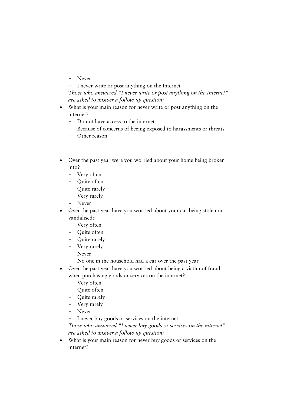- − Never
- − I never write or post anything on the Internet
- *Those who answered "I never write or post anything on the Internet" are asked to answer a follow up question:*
- What is your main reason for never write or post anything on the internet?
	- − Do not have access to the internet
	- − Because of concerns of beeing exposed to harassments or threats
	- − Other reason
- Over the past year were you worried about your home being broken into?
	- − Very often
	- − Quite often
	- − Quite rarely
	- − Very rarely
	- − Never
- Over the past year have you worried about your car being stolen or vandalised?
	- − Very often
	- − Quite often
	- − Quite rarely
	- − Very rarely
	- − Never
	- − No one in the household had a car over the past year
- Over the past year have you worried about being a victim of fraud when purchasing goods or services on the internet?
	- − Very often
	- − Quite often
	- − Quite rarely
	- − Very rarely
	- − Never
	- − I never buy goods or services on the internet

*Those who answered "I never buy goods or services on the internet" are asked to answer a follow up question:*

• What is your main reason for never buy goods or services on the internet?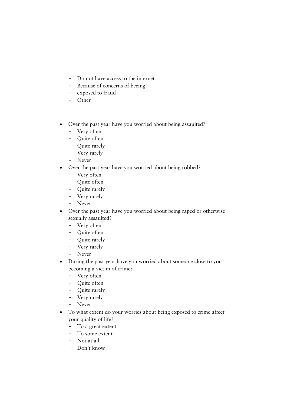- − Do not have access to the internet
- − Because of concerns of beeing
- − exposed to fraud
- − Other
- Over the past year have you worried about being assaulted?
	- − Very often
	- − Quite often
	- − Quite rarely
	- − Very rarely
	- − Never
- Over the past year have you worried about being robbed?
	- − Very often
	- − Quite often
	- − Quite rarely
	- − Very rarely
	- − Never
- Over the past year have you worried about being raped or otherwise sexually assaulted?
	- − Very often
	- − Quite often
	- − Quite rarely
	- − Very rarely
	- − Never
- During the past year have you worried about someone close to you becoming a victim of crime?
	- − Very often
	- − Quite often
	- − Quite rarely
	- − Very rarely
	- − Never
- To what extent do your worries about being exposed to crime affect your quality of life?
	- − To a great extent
	- − To some extent
	- − Not at all
	- − Don't know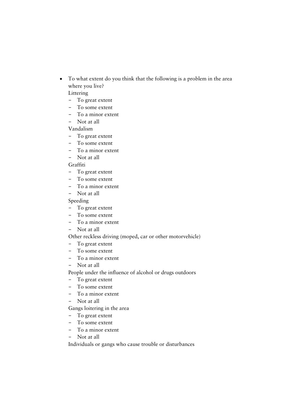• To what extent do you think that the following is a problem in the area where you live?

Littering

- − To great extent
- − To some extent
- − To a minor extent
- − Not at all

Vandalism

- − To great extent
- − To some extent<br>− To a minor exte
- To a minor extent
- − Not at all

Graffiti

- − To great extent
- − To some extent
- − To a minor extent
- − Not at all

Speeding

- − To great extent
- − To some extent
- − To a minor extent
- − Not at all

#### Other reckless driving (moped, car or other motorvehicle)

- − To great extent
- To some extent
- − To a minor extent
- − Not at all

People under the influence of alcohol or drugs outdoors

- − To great extent
- − To some extent
- − To a minor extent
- − Not at all

Gangs loitering in the area

- − To great extent
- − To some extent<br>− To a minor exte
- To a minor extent
- − Not at all

Individuals or gangs who cause trouble or disturbances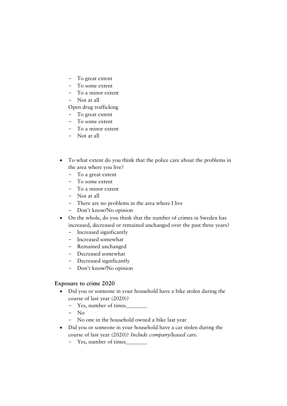- To great extent
- − To some extent
- − To a minor extent
- − Not at all

#### Open drug trafficking

- − To great extent
- − To some extent
- − To a minor extent
- − Not at all
- To what extent do you think that the police care about the problems in the area where you live?
	- − To a great extent<br>− To some extent
	- To some extent
	- − To a minor extent
	- − Not at all
	- − There are no problems in the area where I live
	- Don't know/No opinion
- On the whole, do you think that the number of crimes in Sweden has increased, decreased or remained unchanged over the past three years?
	- − Increased significantly
	- − Increased somewhat
	- − Remained unchanged
	- − Decreased somewhat
	- − Decreased significantly
	- − Don't know/No opinion

#### **Exposure to crime 2020**

- Did you or someone in your household have a bike stolen during the course of last year (2020)?
	- − Yes, number of times\_\_\_\_\_\_\_\_
	- − No
	- − No one in the household owned a bike last year
- Did you or someone in your household have a car stolen during the course of last year (2020)? *Include company/leased cars.*
	- − Yes, number of times\_\_\_\_\_\_\_\_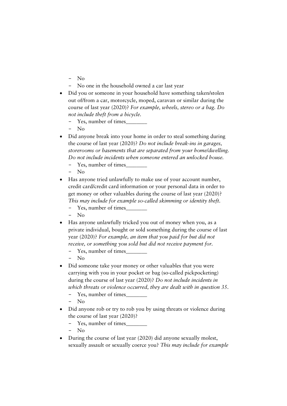- − No
- − No one in the household owned a car last year
- Did you or someone in your household have something taken/stolen out of/from a car, motorcycle, moped, caravan or similar during the course of last year (2020)? *For example, wheels, stereo or a bag. Do not include theft from a bicycle.*
	- − Yes, number of times\_\_\_\_\_\_\_\_
	- N<sub>o</sub>
- Did anyone break into your home in order to steal something during the course of last year (2020)? *Do not include break-ins in garages, storerooms or basements that are separated from your home/dwelling. Do not include incidents when someone entered an unlocked house.*
	- − Yes, number of times\_\_\_\_\_\_\_\_
	- − No
- Has anyone tried unlawfully to make use of your account number, credit card/credit card information or your personal data in order to get money or other valuables during the course of last year (2020)? *This may include for example so-called skimming or identity theft.*
	- Yes, number of times\_
	- − No
- Has anyone unlawfully tricked you out of money when you, as a private individual, bought or sold something during the course of last year (2020)? *For example, an item that you paid for but did not receive, or something you sold but did not receive payment for.*
	- − Yes, number of times\_\_\_\_\_\_\_\_
	- − No
- Did someone take your money or other valuables that you were carrying with you in your pocket or bag (so-called pickpocketing) during the course of last year (2020)? *Do not include incidents in which threats or violence occurred, they are dealt with in question 35*.
	- − Yes, number of times\_\_\_\_\_\_\_\_
	- − No
- Did anyone rob or try to rob you by using threats or violence during the course of last year (2020)?
	- − Yes, number of times\_\_\_\_\_\_\_\_
	- $N<sub>0</sub>$
- During the course of last year (2020) did anyone sexually molest, sexually assault or sexually coerce you? *This may include for example*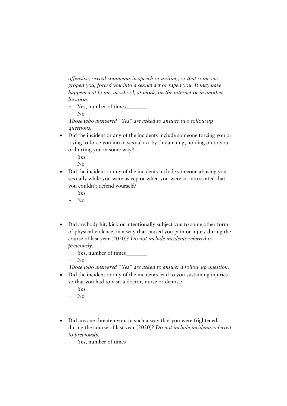*offensive, sexual comments in speech or writing, or that someone groped you, forced you into a sexual act or raped you. It may have happened at home, at school, at work, on the internet or in another location.*

- − Yes, number of times\_\_\_\_\_\_\_\_
- N<sub>o</sub>

*Those who answered "Yes" are asked to answer two follow up questions.*

- Did the incident or any of the incidents include someone forcing you or trying to force you into a sexual act by threatening, holding on to you or hurting you in some way?
	- − Yes
	- − No
- Did the incident or any of the incidents include someone abusing you sexually while you were asleep or when you were so intoxicated that you couldn't defend yourself?
	- − Yes
	- − No
- Did anybody hit, kick or intentionally subject you to some other form of physical violence, in a way that caused you pain or injury during the course of last year (2020)? *Do not include incidents referred to previously.*
	- − Yes, number of times\_\_\_\_\_\_\_\_
	- − No

*Those who answered "Yes" are asked to answer a follow up question.*

- Did the incident or any of the incidents lead to you sustaining injuries so that you had to visit a doctor, nurse or dentist?
	- − Yes
	- − No
- Did anyone threaten you, in such a way that you were frightened, during the course of last year (2020)? *Do not include incidents referred to previously.*
	- − Yes, number of times\_\_\_\_\_\_\_\_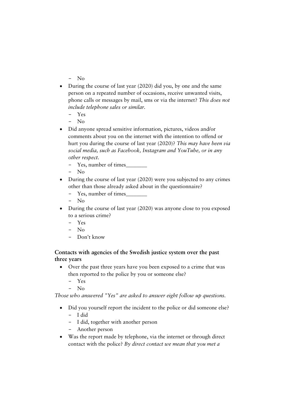- − No
- During the course of last year (2020) did you, by one and the same person on a repeated number of occasions, receive unwanted visits, phone calls or messages by mail, sms or via the internet? *This does not include telephone sales or similar.*
	- − Yes
	- − No
- Did anyone spread sensitive information, pictures, videos and/or comments about you on the internet with the intention to offend or hurt you during the course of last year (2020)? *This may have been via social media, such as Facebook, Instagram and YouTube, or in any other respect.*
	- − Yes, number of times\_\_\_\_\_\_\_\_
	- − No
- During the course of last year (2020) were you subjected to any crimes other than those already asked about in the questionnaire?
	- − Yes, number of times\_\_\_\_\_\_\_\_
	- − No
- During the course of last year (2020) was anyone close to you exposed to a serious crime?
	- − Yes
	- − No
	- Don't know

#### **Contacts with agencies of the Swedish justice system over the past three years**

- Over the past three years have you been exposed to a crime that was then reported to the police by you or someone else?
	- − Yes
	- − No

*Those who answered "Yes" are asked to answer eight follow up questions.*

- Did you yourself report the incident to the police or did someone else? − I did
	- − I did, together with another person
	- − Another person
- Was the report made by telephone, via the internet or through direct contact with the police? *By direct contact we mean that you met a*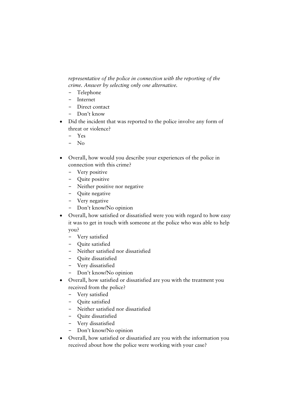*representative of the police in connection with the reporting of the crime. Answer by selecting only one alternative.*

- − Telephone
- − Internet
- − Direct contact
- − Don't know
- Did the incident that was reported to the police involve any form of threat or violence?
	- − Yes
	- − No
- Overall, how would you describe your experiences of the police in connection with this crime?
	- − Very positive
	- − Quite positive
	- − Neither positive nor negative
	- − Quite negative
	- − Very negative
	- − Don't know/No opinion
- Overall, how satisfied or dissatisfied were you with regard to how easy it was to get in touch with someone at the police who was able to help you?
	- − Very satisfied
	- − Quite satisfied
	- − Neither satisfied nor dissatisfied
	- − Quite dissatisfied
	-
	- − Very dissatisfied Don't know/No opinion
- Overall, how satisfied or dissatisfied are you with the treatment you received from the police?
	- − Very satisfied
	- − Quite satisfied
	- − Neither satisfied nor dissatisfied
	- − Quite dissatisfied
	- − Very dissatisfied
	- − Don't know/No opinion
- Overall, how satisfied or dissatisfied are you with the information you received about how the police were working with your case?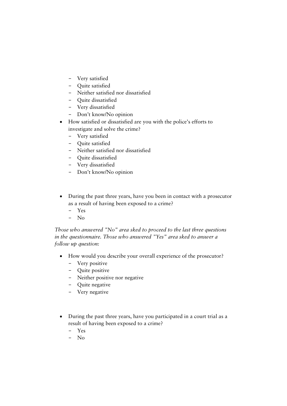- − Very satisfied
- − Quite satisfied
- − Neither satisfied nor dissatisfied
- − Quite dissatisfied
- − Very dissatisfied
- − Don't know/No opinion
- How satisfied or dissatisfied are you with the police's efforts to investigate and solve the crime?
	- − Very satisfied
	- − Quite satisfied
	- − Neither satisfied nor dissatisfied
	- − Quite dissatisfied
	- − Very dissatisfied
	- − Don't know/No opinion
- During the past three years, have you been in contact with a prosecutor as a result of having been exposed to a crime?
	- − Yes
	- − No

*Those who answered "No" area sked to proceed to the last three questions in the questionnaire. Those who answered "Yes" area sked to answer a follow up question:* 

- How would you describe your overall experience of the prosecutor?
	- − Very positive
	- − Quite positive
	- − Neither positive nor negative
	- − Quite negative
	- − Very negative
- During the past three years, have you participated in a court trial as a result of having been exposed to a crime?
	- − Yes
	- − No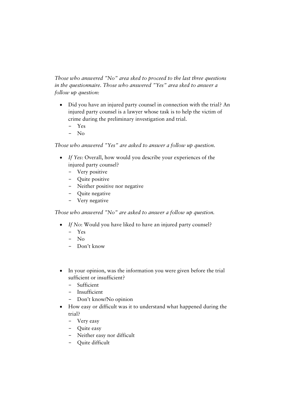*Those who answered "No" area sked to proceed to the last three questions in the questionnaire. Those who answered "Yes" area sked to answer a follow up question:*

- Did you have an injured party counsel in connection with the trial? An injured party counsel is a lawyer whose task is to help the victim of crime during the preliminary investigation and trial.
	- − Yes
	- − No

*Those who answered "Yes" are asked to answer a follow up question.*

- *If Yes*: Overall, how would you describe your experiences of the injured party counsel?
	- − Very positive
	- − Quite positive
	- − Neither positive nor negative
	- − Quite negative
	- − Very negative

*Those who answered "No" are asked to answer a follow up question.*

- *If No*: Would you have liked to have an injured party counsel?
	- − Yes
	- − No
	- − Don't know
- In your opinion, was the information you were given before the trial sufficient or insufficient?
	- − Sufficient
	- − Insufficient
	- − Don't know/No opinion
- How easy or difficult was it to understand what happened during the trial?
	- − Very easy
	- − Quite easy
	- − Neither easy nor difficult
	- − Quite difficult